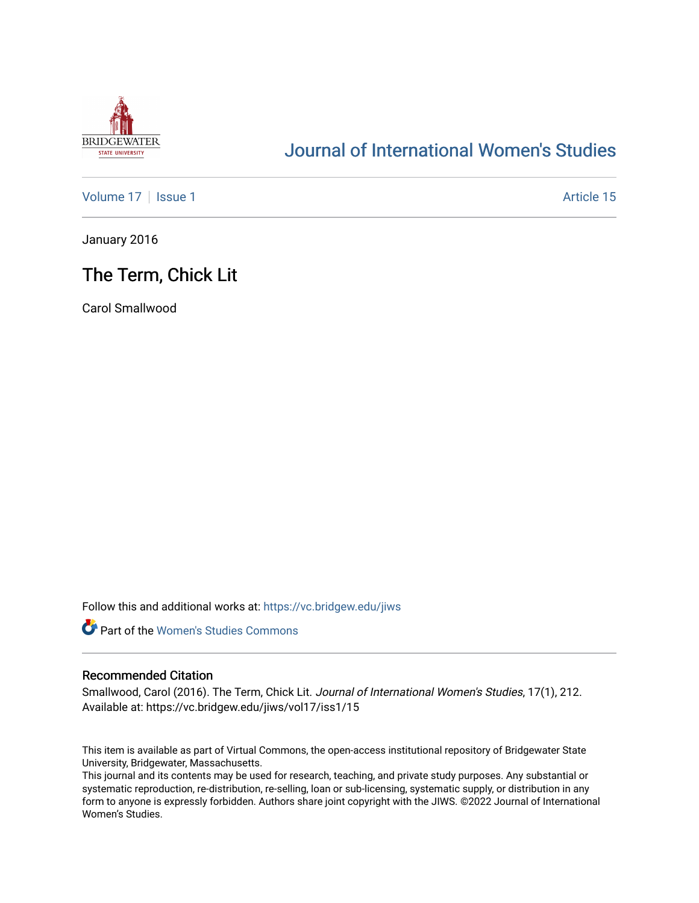

# [Journal of International Women's Studies](https://vc.bridgew.edu/jiws)

[Volume 17](https://vc.bridgew.edu/jiws/vol17) | [Issue 1](https://vc.bridgew.edu/jiws/vol17/iss1) Article 15

January 2016

## The Term, Chick Lit

Carol Smallwood

Follow this and additional works at: [https://vc.bridgew.edu/jiws](https://vc.bridgew.edu/jiws?utm_source=vc.bridgew.edu%2Fjiws%2Fvol17%2Fiss1%2F15&utm_medium=PDF&utm_campaign=PDFCoverPages)



## Recommended Citation

Smallwood, Carol (2016). The Term, Chick Lit. Journal of International Women's Studies, 17(1), 212. Available at: https://vc.bridgew.edu/jiws/vol17/iss1/15

This item is available as part of Virtual Commons, the open-access institutional repository of Bridgewater State University, Bridgewater, Massachusetts.

This journal and its contents may be used for research, teaching, and private study purposes. Any substantial or systematic reproduction, re-distribution, re-selling, loan or sub-licensing, systematic supply, or distribution in any form to anyone is expressly forbidden. Authors share joint copyright with the JIWS. ©2022 Journal of International Women's Studies.